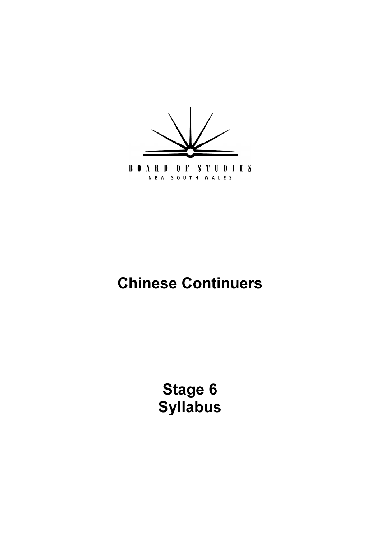

NEW SOUTH WALES

# **Chinese Continuers**

**[Stage 6](#page-5-0) Syllabus**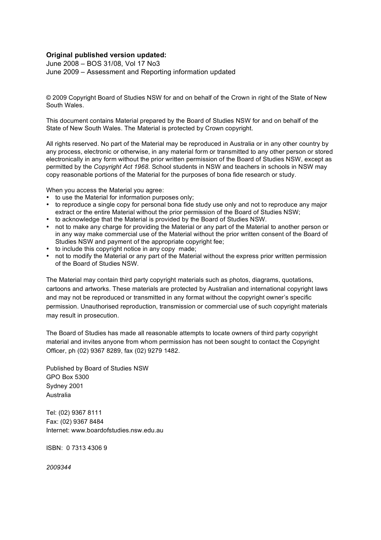#### **Original published version updated:**

June 2008 – BOS 31/08, Vol 17 No3 June 2009 – Assessment and Reporting information updated

 © 2009 Copyright Board of Studies NSW for and on behalf of the Crown in right of the State of New South Wales.

 This document contains Material prepared by the Board of Studies NSW for and on behalf of the State of New South Wales. The Material is protected by Crown copyright.

 All rights reserved. No part of the Material may be reproduced in Australia or in any other country by any process, electronic or otherwise, in any material form or transmitted to any other person or stored electronically in any form without the prior written permission of the Board of Studies NSW, except as permitted by the *Copyright Act 1968*. School students in NSW and teachers in schools in NSW may copy reasonable portions of the Material for the purposes of bona fide research or study.

When you access the Material you agree:

- to use the Material for information purposes only;
- to reproduce a single copy for personal bona fide study use only and not to reproduce any major extract or the entire Material without the prior permission of the Board of Studies NSW;
- • to acknowledge that the Material is provided by the Board of Studies NSW.
- not to make any charge for providing the Material or any part of the Material to another person or in any way make commercial use of the Material without the prior written consent of the Board of Studies NSW and payment of the appropriate copyright fee;
- to include this copyright notice in any copy made;
- not to modify the Material or any part of the Material without the express prior written permission of the Board of Studies NSW.

 The Material may contain third party copyright materials such as photos, diagrams, quotations, cartoons and artworks. These materials are protected by Australian and international copyright laws and may not be reproduced or transmitted in any format without the copyright owner's specific permission. Unauthorised reproduction, transmission or commercial use of such copyright materials may result in prosecution.

 The Board of Studies has made all reasonable attempts to locate owners of third party copyright material and invites anyone from whom permission has not been sought to contact the Copyright Officer, ph (02) 9367 8289, fax (02) 9279 1482.

 Published by Board of Studies NSW GPO Box 5300 Sydney 2001 Australia

 Tel: (02) 9367 8111 Fax: (02) 9367 8484 Internet: www.boardofstudies.nsw.edu.au

ISBN: 0 7313 4306 9

*2009344*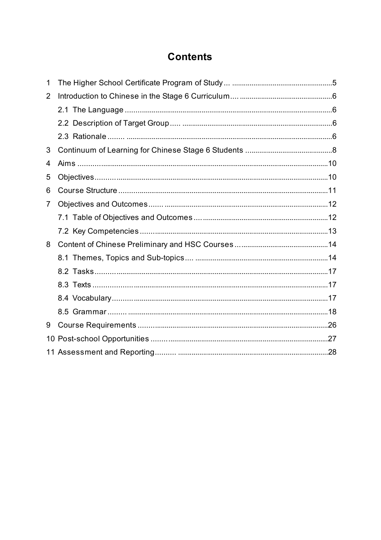# **Contents**

| 1               |  |
|-----------------|--|
| 2               |  |
|                 |  |
|                 |  |
|                 |  |
| 3               |  |
| 4               |  |
| 5               |  |
| 6               |  |
| 7               |  |
|                 |  |
|                 |  |
| 8               |  |
|                 |  |
|                 |  |
|                 |  |
|                 |  |
|                 |  |
| 9               |  |
| 10 <sup>°</sup> |  |
|                 |  |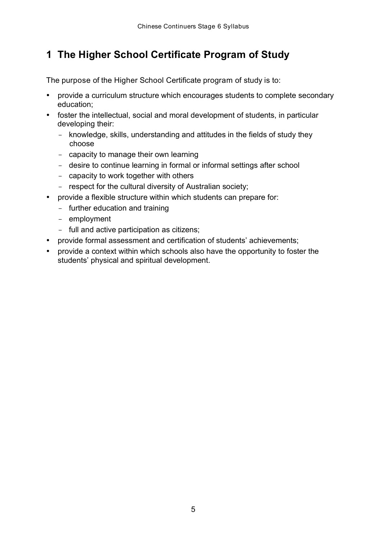# <span id="page-4-0"></span> **1 The Higher School Certificate Program of Study**

The purpose of the Higher School Certificate program of study is to:

- • provide a curriculum structure which encourages students to complete secondary education;
- foster the intellectual, social and moral development of students, in particular developing their:
	- knowledge, skills, understanding and attitudes in the fields of study they choose
	- capacity to manage their own learning
	- desire to continue learning in formal or informal settings after school
	- capacity to work together with others
	- respect for the cultural diversity of Australian society;
- provide a flexible structure within which students can prepare for:
	- further education and training
	- employment
	- full and active participation as citizens;
- • provide formal assessment and certification of students' achievements;
- provide a context within which schools also have the opportunity to foster the students' physical and spiritual development.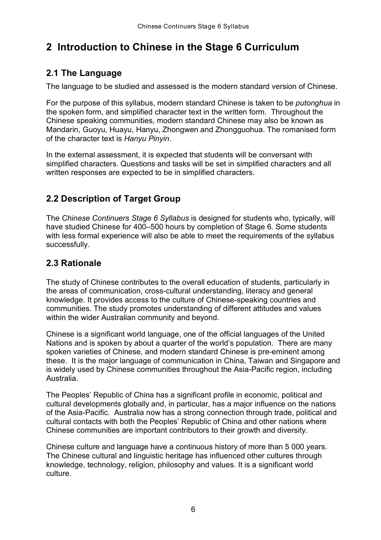# <span id="page-5-0"></span> **2 Introduction to Chinese in the Stage 6 Curriculum**

### **2.1 The Language**

The language to be studied and assessed is the modern standard version of Chinese.

 For the purpose of this syllabus, modern standard Chinese is taken to be *putonghua* in the spoken form, and simplified character text in the written form. Throughout the Chinese speaking communities, modern standard Chinese may also be known as Mandarin, Guoyu, Huayu, Hanyu, Zhongwen and Zhongguohua. The romanised form of the character text is *Hanyu Pinyin*.

 In the external assessment, it is expected that students will be conversant with simplified characters. Questions and tasks will be set in simplified characters and all written responses are expected to be in simplified characters.

### **2.2 Description of Target Group**

 The *Chinese Continuers Stage 6 Syllabus* is designed for students who, typically, will have studied Chinese for 400–500 hours by completion of Stage 6. Some students with less formal experience will also be able to meet the requirements of the syllabus successfully.

### **2.3 Rationale**

 The study of Chinese contributes to the overall education of students, particularly in the areas of communication, cross-cultural understanding, literacy and general knowledge. It provides access to the culture of Chinese-speaking countries and communities. The study promotes understanding of different attitudes and values within the wider Australian community and beyond.

 Chinese is a significant world language, one of the official languages of the United Nations and is spoken by about a quarter of the world's population. There are many spoken varieties of Chinese, and modern standard Chinese is pre-eminent among these. It is the major language of communication in China, Taiwan and Singapore and is widely used by Chinese communities throughout the Asia-Pacific region, including Australia.

 The Peoples' Republic of China has a significant profile in economic, political and cultural developments globally and, in particular, has a major influence on the nations of the Asia-Pacific. Australia now has a strong connection through trade, political and cultural contacts with both the Peoples' Republic of China and other nations where Chinese communities are important contributors to their growth and diversity.

 Chinese culture and language have a continuous history of more than 5 000 years. The Chinese cultural and linguistic heritage has influenced other cultures through knowledge, technology, religion, philosophy and values. It is a significant world culture.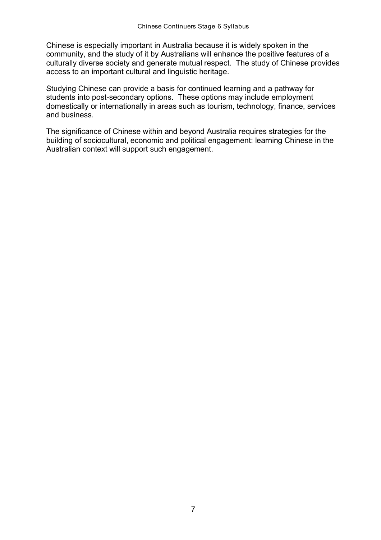Chinese is especially important in Australia because it is widely spoken in the community, and the study of it by Australians will enhance the positive features of a culturally diverse society and generate mutual respect. The study of Chinese provides access to an important cultural and linguistic heritage.

 Studying Chinese can provide a basis for continued learning and a pathway for students into post-secondary options. These options may include employment domestically or internationally in areas such as tourism, technology, finance, services and business.

 The significance of Chinese within and beyond Australia requires strategies for the building of sociocultural, economic and political engagement: learning Chinese in the Australian context will support such engagement.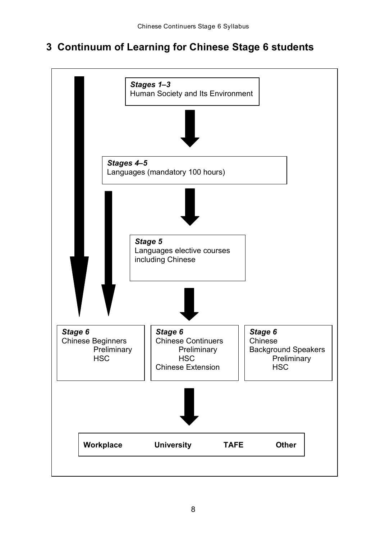# <span id="page-7-0"></span> **3 Continuum of Learning for Chinese Stage 6 students**

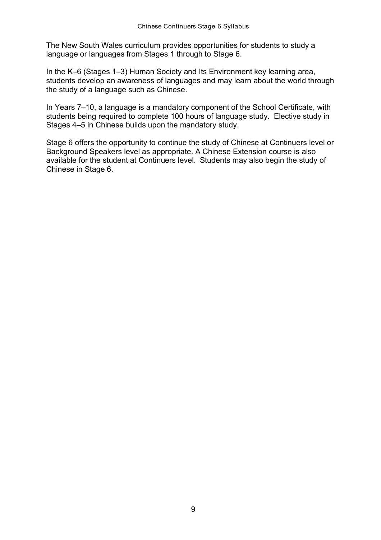The New South Wales curriculum provides opportunities for students to study a language or languages from Stages 1 through to Stage 6.

 In the K–6 (Stages 1–3) Human Society and Its Environment key learning area, students develop an awareness of languages and may learn about the world through the study of a language such as Chinese.

 In Years 7–10, a language is a mandatory component of the School Certificate, with students being required to complete 100 hours of language study. Elective study in Stages 4–5 in Chinese builds upon the mandatory study.

 Stage 6 offers the opportunity to continue the study of Chinese at Continuers level or Background Speakers level as appropriate. A Chinese Extension course is also available for the student at Continuers level. Students may also begin the study of Chinese in Stage 6.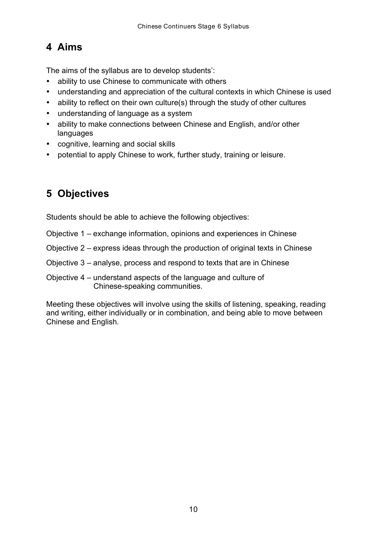# <span id="page-9-0"></span> **4 Aims**

The aims of the syllabus are to develop students':

- ability to use Chinese to communicate with others
- understanding and appreciation of the cultural contexts in which Chinese is used
- ability to reflect on their own culture(s) through the study of other cultures
- understanding of language as a system
- ability to make connections between Chinese and English, and/or other languages
- • cognitive, learning and social skills
- potential to apply Chinese to work, further study, training or leisure.

# **5 Objectives**

Students should be able to achieve the following objectives:

- Objective 1 exchange information, opinions and experiences in Chinese
- Objective 2 express ideas through the production of original texts in Chinese

Objective 3 – analyse, process and respond to texts that are in Chinese

 Objective 4 – understand aspects of the language and culture of Chinese-speaking communities.

 Meeting these objectives will involve using the skills of listening, speaking, reading and writing, either individually or in combination, and being able to move between Chinese and English.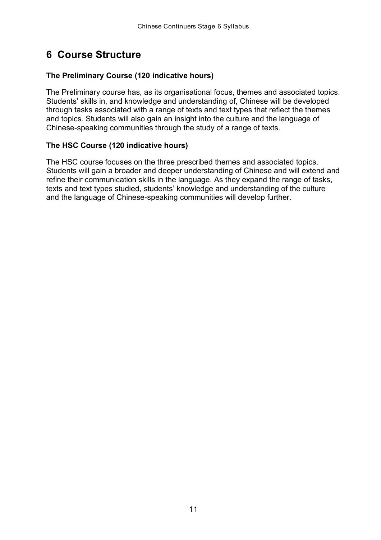### <span id="page-10-0"></span> **6 Course Structure**

#### **The Preliminary Course (120 indicative hours)**

 The Preliminary course has, as its organisational focus, themes and associated topics. Students' skills in, and knowledge and understanding of, Chinese will be developed through tasks associated with a range of texts and text types that reflect the themes and topics. Students will also gain an insight into the culture and the language of Chinese-speaking communities through the study of a range of texts.

#### **The HSC Course (120 indicative hours)**

 The HSC course focuses on the three prescribed themes and associated topics. Students will gain a broader and deeper understanding of Chinese and will extend and refine their communication skills in the language. As they expand the range of tasks, texts and text types studied, students' knowledge and understanding of the culture and the language of Chinese-speaking communities will develop further.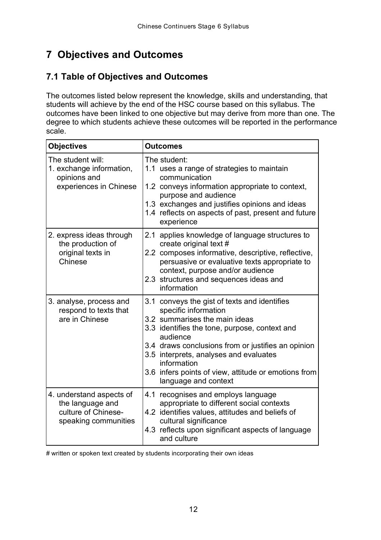# **7 Objectives and Outcomes**

### **7.1 Table of Objectives and Outcomes**

 The outcomes listed below represent the knowledge, skills and understanding, that students will achieve by the end of the HSC course based on this syllabus. The outcomes have been linked to one objective but may derive from more than one. The degree to which students achieve these outcomes will be reported in the performance scale.

| <b>Objectives</b>                                                                           | <b>Outcomes</b>                                                                                                                                                                                                                                                                                                                                                   |  |  |
|---------------------------------------------------------------------------------------------|-------------------------------------------------------------------------------------------------------------------------------------------------------------------------------------------------------------------------------------------------------------------------------------------------------------------------------------------------------------------|--|--|
| The student will:<br>1. exchange information,<br>opinions and<br>experiences in Chinese     | The student:<br>1.1 uses a range of strategies to maintain<br>communication<br>1.2 conveys information appropriate to context,<br>purpose and audience<br>1.3 exchanges and justifies opinions and ideas<br>1.4 reflects on aspects of past, present and future<br>experience                                                                                     |  |  |
| 2. express ideas through<br>the production of<br>original texts in<br>Chinese               | 2.1 applies knowledge of language structures to<br>create original text #<br>2.2 composes informative, descriptive, reflective,<br>persuasive or evaluative texts appropriate to<br>context, purpose and/or audience<br>2.3 structures and sequences ideas and<br>information                                                                                     |  |  |
| 3. analyse, process and<br>respond to texts that<br>are in Chinese                          | 3.1 conveys the gist of texts and identifies<br>specific information<br>3.2 summarises the main ideas<br>3.3 identifies the tone, purpose, context and<br>audience<br>3.4 draws conclusions from or justifies an opinion<br>3.5 interprets, analyses and evaluates<br>information<br>3.6 infers points of view, attitude or emotions from<br>language and context |  |  |
| 4. understand aspects of<br>the language and<br>culture of Chinese-<br>speaking communities | 4.1 recognises and employs language<br>appropriate to different social contexts<br>4.2 identifies values, attitudes and beliefs of<br>cultural significance<br>4.3 reflects upon significant aspects of language<br>and culture                                                                                                                                   |  |  |

# written or spoken text created by students incorporating their own ideas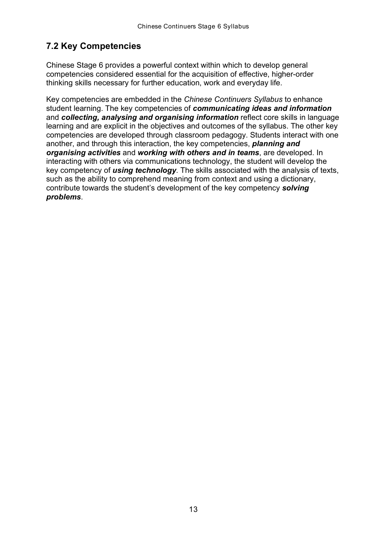### <span id="page-12-0"></span> **7.2 Key Competencies**

 Chinese Stage 6 provides a powerful context within which to develop general competencies considered essential for the acquisition of effective, higher-order thinking skills necessary for further education, work and everyday life.

 Key competencies are embedded in the *Chinese Continuers Syllabus* to enhance student learning. The key competencies of *communicating ideas and information*  and **collecting, analysing and organising information** reflect core skills in language learning and are explicit in the objectives and outcomes of the syllabus. The other key competencies are developed through classroom pedagogy. Students interact with one another, and through this interaction, the key competencies, *planning and organising activities* and *working with others and in teams*, are developed. In interacting with others via communications technology, the student will develop the key competency of *using technology*. The skills associated with the analysis of texts, such as the ability to comprehend meaning from context and using a dictionary, contribute towards the student's development of the key competency *solving problems*.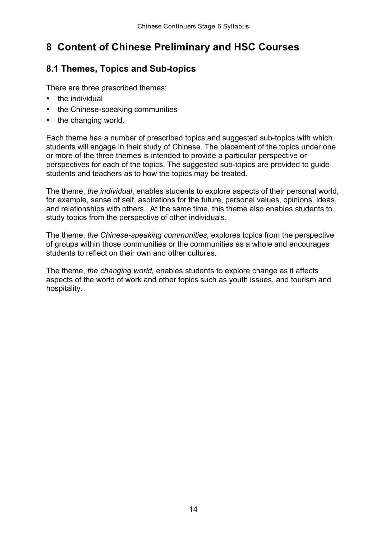# <span id="page-13-0"></span> **8 Content of Chinese Preliminary and HSC Courses**

### **8.1 Themes, Topics and Sub-topics**

There are three prescribed themes:

- the individual
- the Chinese-speaking communities
- the changing world.

 Each theme has a number of prescribed topics and suggested sub-topics with which students will engage in their study of Chinese. The placement of the topics under one or more of the three themes is intended to provide a particular perspective or perspectives for each of the topics. The suggested sub-topics are provided to guide students and teachers as to how the topics may be treated.

 The theme, *the individual*, enables students to explore aspects of their personal world, for example, sense of self, aspirations for the future, personal values, opinions, ideas, and relationships with others. At the same time, this theme also enables students to study topics from the perspective of other individuals.

 The theme, *the Chinese-speaking communities*, explores topics from the perspective of groups within those communities or the communities as a whole and encourages students to reflect on their own and other cultures.

 The theme, *the changing world,* enables students to explore change as it affects aspects of the world of work and other topics such as youth issues, and tourism and hospitality.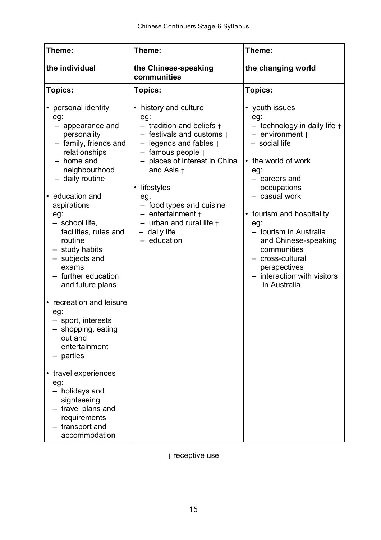| Theme:                                                                                                                                                                                                                                                                                                                                                                                                                                                                                                                | Theme:                                                                                                                                                                                                                                                                                                                                                          | Theme:                                                                                                                                                                                                                                                                                                                                                                 |
|-----------------------------------------------------------------------------------------------------------------------------------------------------------------------------------------------------------------------------------------------------------------------------------------------------------------------------------------------------------------------------------------------------------------------------------------------------------------------------------------------------------------------|-----------------------------------------------------------------------------------------------------------------------------------------------------------------------------------------------------------------------------------------------------------------------------------------------------------------------------------------------------------------|------------------------------------------------------------------------------------------------------------------------------------------------------------------------------------------------------------------------------------------------------------------------------------------------------------------------------------------------------------------------|
| the individual                                                                                                                                                                                                                                                                                                                                                                                                                                                                                                        | the Chinese-speaking<br>communities                                                                                                                                                                                                                                                                                                                             | the changing world                                                                                                                                                                                                                                                                                                                                                     |
| <b>Topics:</b>                                                                                                                                                                                                                                                                                                                                                                                                                                                                                                        | <b>Topics:</b>                                                                                                                                                                                                                                                                                                                                                  | <b>Topics:</b>                                                                                                                                                                                                                                                                                                                                                         |
| • personal identity<br>eg:<br>- appearance and<br>personality<br>- family, friends and<br>relationships<br>- home and<br>neighbourhood<br>- daily routine<br>• education and<br>aspirations<br>eg:<br>- school life,<br>facilities, rules and<br>routine<br>- study habits<br>- subjects and<br>exams<br>- further education<br>and future plans<br>• recreation and leisure<br>eg:<br>- sport, interests<br>shopping, eating<br>out and<br>entertainment<br>parties<br>• travel experiences<br>eg:<br>- holidays and | history and culture<br>eg:<br>$-$ tradition and beliefs $\dagger$<br>$-$ festivals and customs $\dagger$<br>$-$ legends and fables $\dagger$<br>- famous people +<br>- places of interest in China<br>and Asia +<br>lifestyles<br>eg:<br>- food types and cuisine<br>$-$ entertainment $+$<br>$-$ urban and rural life $\dagger$<br>- daily life<br>- education | • youth issues<br>eg:<br>- technology in daily life +<br>$-$ environment $\dagger$<br>- social life<br>• the world of work<br>eg:<br>- careers and<br>occupations<br>- casual work<br>• tourism and hospitality<br>eg:<br>- tourism in Australia<br>and Chinese-speaking<br>communities<br>cross-cultural<br>perspectives<br>interaction with visitors<br>in Australia |
| sightseeing<br>travel plans and<br>requirements<br>transport and<br>accommodation                                                                                                                                                                                                                                                                                                                                                                                                                                     |                                                                                                                                                                                                                                                                                                                                                                 |                                                                                                                                                                                                                                                                                                                                                                        |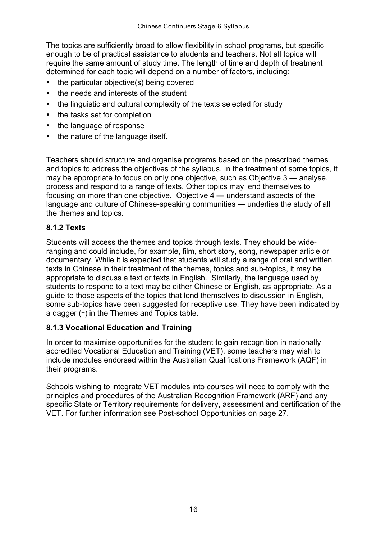The topics are sufficiently broad to allow flexibility in school programs, but specific enough to be of practical assistance to students and teachers. Not all topics will require the same amount of study time. The length of time and depth of treatment determined for each topic will depend on a number of factors, including:

- the particular objective(s) being covered
- the needs and interests of the student
- the linguistic and cultural complexity of the texts selected for study
- the tasks set for completion
- the language of response
- the nature of the language itself.

 Teachers should structure and organise programs based on the prescribed themes and topics to address the objectives of the syllabus. In the treatment of some topics, it may be appropriate to focus on only one objective*,* such as Objective 3 — analyse, process and respond to a range of texts. Other topics may lend themselves to focusing on more than one objective*.* Objective 4 — understand aspects of the language and culture of Chinese-speaking communities — underlies the study of all the themes and topics.

#### **8.1.2 Texts**

 Students will access the themes and topics through texts. They should be wide- ranging and could include, for example, film, short story, song, newspaper article or documentary. While it is expected that students will study a range of oral and written texts in Chinese in their treatment of the themes, topics and sub-topics, it may be appropriate to discuss a text or texts in English. Similarly, the language used by students to respond to a text may be either Chinese or English, as appropriate. As a guide to those aspects of the topics that lend themselves to discussion in English, some sub-topics have been suggested for receptive use. They have been indicated by a dagger (†) in the Themes and Topics table.

#### **8.1.3 Vocational Education and Training**

 In order to maximise opportunities for the student to gain recognition in nationally accredited Vocational Education and Training (VET), some teachers may wish to include modules endorsed within the Australian Qualifications Framework (AQF) in their programs.

 Schools wishing to integrate VET modules into courses will need to comply with the principles and procedures of the Australian Recognition Framework (ARF) and any specific State or Territory requirements for delivery, assessment and certification of the VET. For further information see Post-school Opportunities on page 27.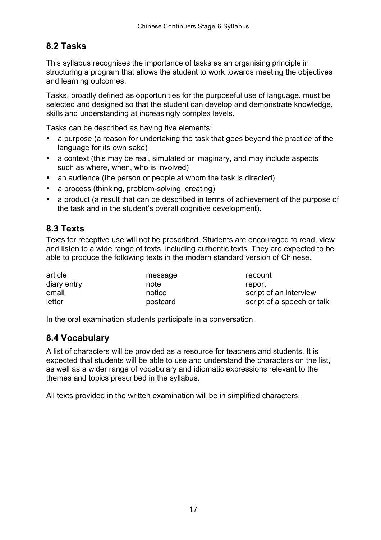### <span id="page-16-0"></span>**8.2 Tasks**

 This syllabus recognises the importance of tasks as an organising principle in structuring a program that allows the student to work towards meeting the objectives and learning outcomes.

 Tasks, broadly defined as opportunities for the purposeful use of language, must be selected and designed so that the student can develop and demonstrate knowledge, skills and understanding at increasingly complex levels.

Tasks can be described as having five elements:

- a purpose (a reason for undertaking the task that goes beyond the practice of the language for its own sake)
- a context (this may be real, simulated or imaginary, and may include aspects such as where, when, who is involved)
- an audience (the person or people at whom the task is directed)
- a process (thinking, problem-solving, creating)
- a product (a result that can be described in terms of achievement of the purpose of the task and in the student's overall cognitive development).

#### **8.3 Texts**

 Texts for receptive use will not be prescribed. Students are encouraged to read, view and listen to a wide range of texts, including authentic texts. They are expected to be able to produce the following texts in the modern standard version of Chinese.

| article     | message  | recount                    |
|-------------|----------|----------------------------|
| diary entry | note     | report                     |
| email       | notice   | script of an interview     |
| letter      | postcard | script of a speech or talk |

In the oral examination students participate in a conversation.

#### **8.4 Vocabulary**

 A list of characters will be provided as a resource for teachers and students. It is expected that students will be able to use and understand the characters on the list, as well as a wider range of vocabulary and idiomatic expressions relevant to the themes and topics prescribed in the syllabus.

All texts provided in the written examination will be in simplified characters.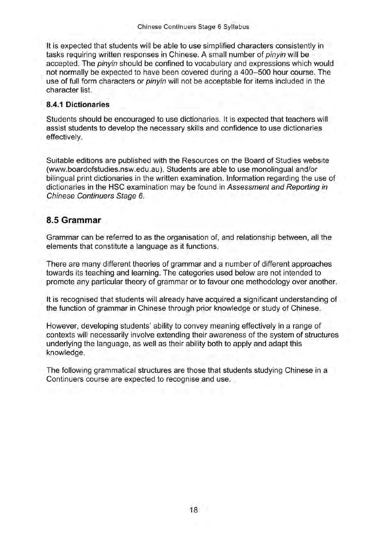It is expected that students will be able to use simplified characters consistently in tasks requiring written responses in Chinese. A small number of pinyin will be accepted. The pinyin should be confined to vocabulary and expressions which would not normally be expected to have been covered during a 400-500 hour course. The use of full form characters or *pinyin* will not be acceptable for items included in the character list.

#### 8.4.1 Dictionaries

Students should be encouraged to use dictionaries. It is expected that teachers will assist students to develop the necessary skills and confidence to use dictionaries effectively.

Suitable editions are published with the Resources on the Board of Studies website (www.boardofstudies.nsw.edu.au). Students are able to use monolingual and/or bilingual print dictionaries in the written examination. Information regarding the use of dictionaries in the HSC examination may be found in Assessment and Reporting in Chinese Continuers Stage 6.

#### 8.5 Grammar

Grammar can be referred to as the organisation of, and relationship between, all the elements that constitute a language as it functions.

There are many different theories of grammar and a number of different approaches towards its teaching and learning. The categories used below are not intended to promote any particular theory of grammar or to favour one methodology over another.

It is recognised that students will already have acquired a significant understanding of the function of grammar in Chinese through prior knowledge or study of Chinese.

However, developing students' ability to convey meaning effectively in a range of contexts will necessarily involve extending their awareness of the system of structures underlying the language, as well as their ability both to apply and adapt this knowledge.

The following grammatical structures are those that students studying Chinese in a Continuers course are expected to recognise and use.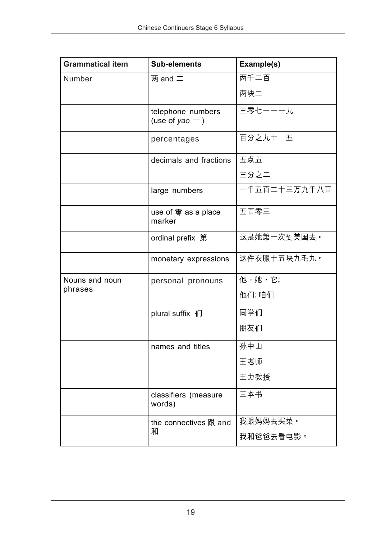| <b>Grammatical item</b> | <b>Sub-elements</b>                                  | Example(s)   |
|-------------------------|------------------------------------------------------|--------------|
| Number                  | 两 and $=$                                            | 两千二百         |
|                         |                                                      | 两块二          |
|                         | telephone numbers<br>(use of yao $-$ )               | 三零七一一一九      |
|                         | percentages                                          | 百分之九十 五      |
|                         | decimals and fractions                               | 五点五          |
|                         |                                                      | 三分之二         |
|                         | large numbers                                        | 一千五百二十三万九千八百 |
|                         | use of $\overline{\mathcal{F}}$ as a place<br>marker | 五百零三         |
|                         | ordinal prefix 第                                     | 这是她第一次到美国去。  |
|                         | monetary expressions                                 | 这件衣服十五块九毛九。  |
| Nouns and noun          | personal pronouns                                    | 他,她,它;       |
| phrases                 |                                                      | 他们;咱们        |
|                         | plural suffix 们                                      | 同学们          |
|                         |                                                      | 朋友们          |
|                         | names and titles                                     | 孙中山          |
|                         |                                                      | 王老师          |
|                         |                                                      | 王力教授         |
|                         | classifiers (measure<br>words)                       | 三本书          |
|                         | the connectives 跟 and                                | 我跟妈妈去买菜。     |
|                         | 和                                                    | 我和爸爸去看电影。    |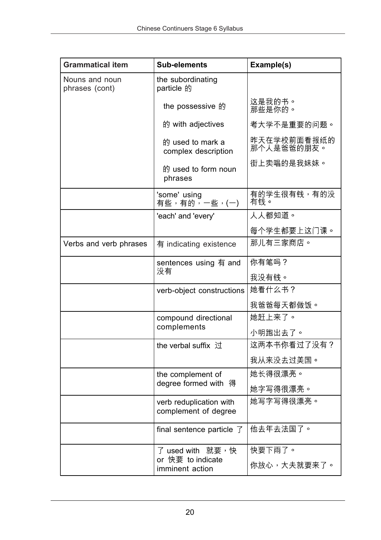| <b>Grammatical item</b>          | Sub-elements                                    | Example(s)                |
|----------------------------------|-------------------------------------------------|---------------------------|
| Nouns and noun<br>phrases (cont) | the subordinating<br>particle 的                 |                           |
|                                  | the possessive 的                                | 这是我的书。<br>那些是你的。          |
|                                  | 的 with adjectives                               | 考大学不是重要的问题。               |
|                                  | 的 used to mark a<br>complex description         | 昨天在学校前面看报纸的<br>那个人是爸爸的朋友。 |
|                                  | 的 used to form noun<br>phrases                  | 街上卖唱的是我妹妹。                |
|                                  | 'some' using<br>有些,有的,一些,(一)                    | 有的学生很有钱,有的没<br>有钱。        |
|                                  | 'each' and 'every'                              | 人人都知道。                    |
|                                  |                                                 | 每个学生都要上这门课。               |
| Verbs and verb phrases           | 有 indicating existence                          | 那儿有三家商店。                  |
|                                  | sentences using $\overline{f}$ and              | 你有笔吗?                     |
|                                  | 没有                                              | 我没有钱。                     |
|                                  | verb-object constructions                       | 她看什么书?                    |
|                                  |                                                 | 我爸爸每天都做饭。                 |
|                                  | compound directional                            | 她赶上来了。                    |
|                                  | complements                                     | 小明跑出去了。                   |
|                                  | the verbal suffix 过                             | 这两本书你看过了没有?               |
|                                  |                                                 | 我从来没去过美国。                 |
|                                  | the complement of                               | 她长得很漂亮。                   |
|                                  | degree formed with 得                            | 她字写得很漂亮。                  |
|                                  | verb reduplication with<br>complement of degree | 她写字写得很漂亮。                 |
|                                  | final sentence particle $\overline{f}$          | 他去年去法国了。                  |
|                                  | 了 used with   就要,快                              | 快要下雨了。                    |
|                                  | or 快要 to indicate<br>imminent action            | 你放心,大夫就要来了。               |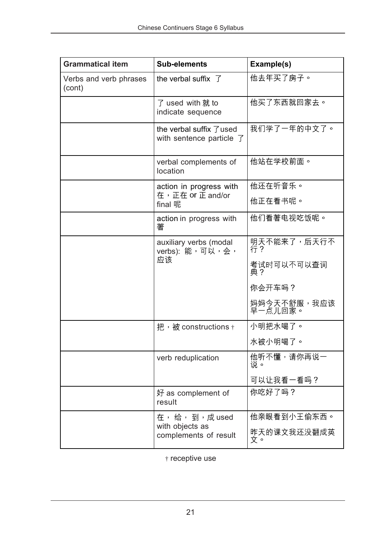| <b>Grammatical item</b>          | <b>Sub-elements</b>                                              | Example(s)             |
|----------------------------------|------------------------------------------------------------------|------------------------|
| Verbs and verb phrases<br>(cont) | the verbal suffix $\overline{f}$                                 | 他去年买了房子。               |
|                                  | 了 used with 就 to<br>indicate sequence                            | 他买了东西就回家去。             |
|                                  | the verbal suffix 了used<br>with sentence particle $\overline{f}$ | 我们学了一年的中文了。            |
|                                  | verbal complements of<br>location                                | 他站在学校前面。               |
|                                  | action in progress with                                          | 他还在听音乐。                |
|                                  | 在,正在 or 正 and/or<br>final 呢                                      | 他正在看书呢。                |
|                                  | action in progress with<br>著                                     | 他们看著电视吃饭呢。             |
|                                  | auxiliary verbs (modal<br>verbs): 能,可以,会,                        | 明天不能来了,后天行不<br>行?      |
|                                  | 应该                                                               | 考试时可以不可以查词<br>典?       |
|                                  |                                                                  | 你会开车吗?                 |
|                                  |                                                                  | 妈妈今天不舒服,我应该<br>早一点儿回家。 |
|                                  | 把,被 constructions $\dagger$                                      | 小明把水喝了。                |
|                                  |                                                                  | 水被小明喝了。                |
|                                  | verb reduplication                                               | 他听不懂,请你再说一<br>说。       |
|                                  |                                                                  | 可以让我看一看吗?              |
|                                  | 好 as complement of<br>result                                     | 你吃好了吗?                 |
|                                  | 在,给,到,成used                                                      | 他亲眼看到小王偷东西。            |
|                                  | with objects as<br>complements of result                         | 昨天的课文我还没翻成英<br>文。      |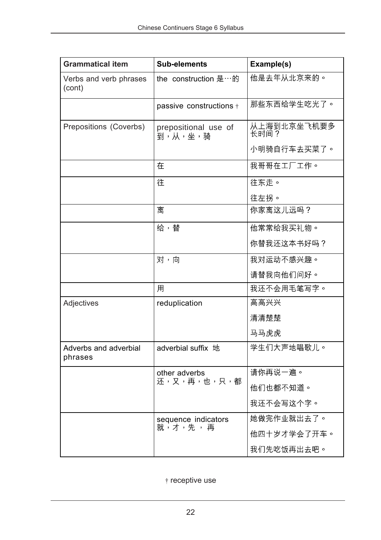| <b>Grammatical item</b>          | <b>Sub-elements</b>             | Example(s)          |
|----------------------------------|---------------------------------|---------------------|
| Verbs and verb phrases<br>(cont) | the construction 是…的            | 他是去年从北京来的。          |
|                                  | passive constructions +         | 那些东西给学生吃光了。         |
| Prepositions (Coverbs)           | prepositional use of<br>到,从,坐,骑 | 从上海到北京坐飞机要多<br>长时间? |
|                                  |                                 | 小明骑自行车去买菜了。         |
|                                  | 在                               | 我哥哥在工厂工作。           |
|                                  | 往                               | 往东走。                |
|                                  |                                 | 往左拐。                |
|                                  | 离                               | 你家离这儿远吗?            |
|                                  | 给,替                             | 他常常给我买礼物。           |
|                                  |                                 | 你替我还这本书好吗?          |
|                                  | 对,向                             | 我对运动不感兴趣。           |
|                                  |                                 | 请替我向他们问好。           |
|                                  | 用                               | 我还不会用毛笔写字。          |
| Adjectives                       | reduplication                   | 高高兴兴                |
|                                  |                                 | 清清楚楚                |
|                                  |                                 | 马马虎虎                |
| Adverbs and adverbial<br>phrases | adverbial suffix 地              | 学生们大声地唱歌儿。          |
|                                  | other adverbs                   | 请你再说一遍。             |
|                                  | 还,又,再,也,只,都                     | 他们也都不知道。            |
|                                  |                                 | 我还不会写这个字。           |
|                                  | sequence indicators             | 她做完作业就出去了。          |
|                                  | 就,才,先,再                         | 他四十岁才学会了开车。         |
|                                  |                                 | 我们先吃饭再出去吧。          |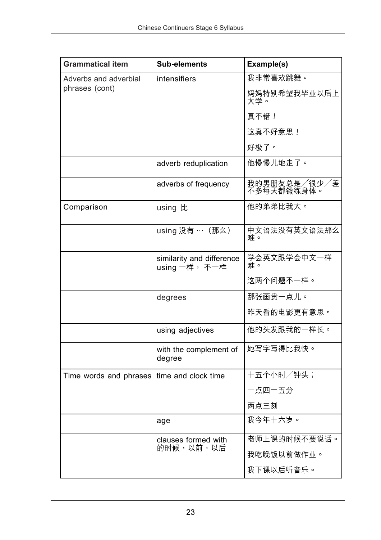| <b>Grammatical item</b> | <b>Sub-elements</b>                        | Example(s)                 |
|-------------------------|--------------------------------------------|----------------------------|
| Adverbs and adverbial   | <i>intensifiers</i>                        | 我非常喜欢跳舞。                   |
| phrases (cont)          |                                            | 妈妈特别希望我毕业以后上<br>大学。        |
|                         |                                            | 真不错!                       |
|                         |                                            | 这真不好意思!                    |
|                         |                                            | 好极了。                       |
|                         | adverb reduplication                       | 他慢慢儿地走了。                   |
|                         | adverbs of frequency                       | 我的男朋友总是/很少/差<br>不多每天都锻练身体。 |
| Comparison              | using 比                                    | 他的弟弟比我大。                   |
|                         | using 没有 … (那么)                            | 中文语法没有英文语法那么<br>难。         |
|                         | similarity and difference<br>using 一样, 不一样 | 学会英文跟学会中文一样<br>难。          |
|                         |                                            | 这两个问题不一样。                  |
|                         | degrees                                    | 那张画贵一点儿。                   |
|                         |                                            | 昨天看的电影更有意思。                |
|                         | using adjectives                           | 他的头发跟我的一样长。                |
|                         | with the complement of<br>degree           | 她写字写得比我快。                  |
| Time words and phrases  | time and clock time                        | 十五个小时/钟头;                  |
|                         |                                            | 一点四十五分                     |
|                         |                                            | 两点三刻                       |
|                         | age                                        | 我今年十六岁。                    |
|                         | clauses formed with                        | 老师上课的时候不要说话。               |
|                         | 的时候,以前,以后                                  | 我吃晚饭以前做作业。                 |
|                         |                                            | 我下课以后听音乐。                  |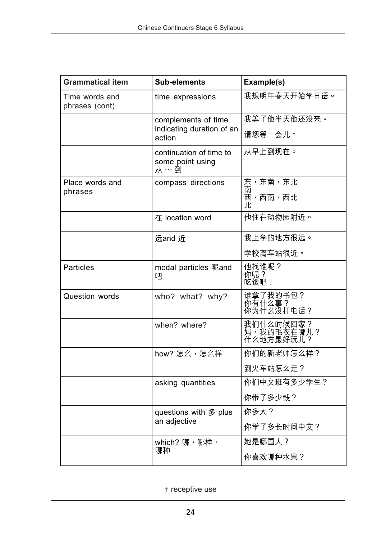| <b>Grammatical item</b>          | Sub-elements                                       | Example(s)                           |
|----------------------------------|----------------------------------------------------|--------------------------------------|
| Time words and<br>phrases (cont) | time expressions                                   | 我想明年春天开始学日语。                         |
|                                  | complements of time                                | 我等了他半天他还没来。                          |
|                                  | indicating duration of an<br>action                | 请您等一会儿。                              |
|                                  | continuation of time to<br>some point using<br>从…到 | 从早上到现在。                              |
| Place words and                  | compass directions                                 | 东,东南,东北                              |
| phrases                          |                                                    | 南<br>西,西南,西北<br>北                    |
|                                  | 在 location word                                    | 他住在动物园附近。                            |
|                                  | 远and 近                                             | 我上学的地方很远。                            |
|                                  |                                                    | 学校离车站很近。                             |
| <b>Particles</b>                 | modal particles 呢and<br>吧                          | 他找谁呢?<br>你呢?<br>吃饭吧!                 |
| <b>Question words</b>            | who? what? why?                                    | 谁拿了我的书包?<br>你有什么事?<br>你为什么没打电话?      |
|                                  | when? where?                                       | 我们什么时候回家?<br>,,我的毛衣在哪儿?<br>什么地方最好玩儿? |
|                                  | how? 怎么,怎么样                                        | 你们的新老师怎么样?                           |
|                                  |                                                    | 到火车站怎么走?                             |
|                                  | asking quantities                                  | 你们中文班有多少学生?                          |
|                                  |                                                    | 你带了多少钱?                              |
|                                  | questions with 多 plus                              | 你多大?                                 |
|                                  | an adjective                                       | 你学了多长时间中文?                           |
|                                  | which? 哪,哪样,<br>哪种                                 | 她是哪国人?                               |
|                                  |                                                    | 你喜欢哪种水果?                             |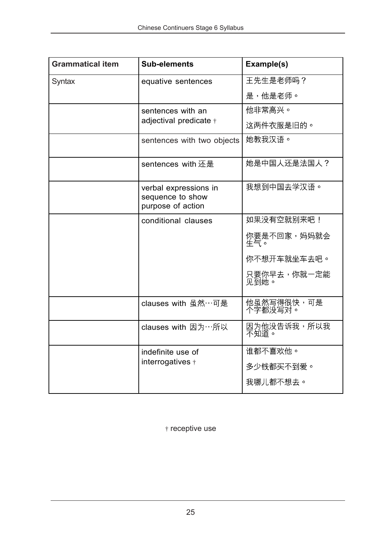| <b>Grammatical item</b> | <b>Sub-elements</b>                                            | Example(s)            |
|-------------------------|----------------------------------------------------------------|-----------------------|
| Syntax                  | equative sentences                                             | 王先生是老师吗?              |
|                         |                                                                | 是,他是老师。               |
|                         | sentences with an                                              | 他非常高兴。                |
|                         | adjectival predicate +                                         | 这两件衣服是旧的。             |
|                         | sentences with two objects                                     | 她教我汉语。                |
|                         | sentences with 还是                                              | 她是中国人还是法国人?           |
|                         | verbal expressions in<br>sequence to show<br>purpose of action | 我想到中国去学汉语。            |
|                         | conditional clauses                                            | 如果没有空就别来吧!            |
|                         |                                                                | 你要是不回家,妈妈就会<br>生气。    |
|                         |                                                                | 你不想开车就坐车去吧。           |
|                         |                                                                | 只要你早去,你就一定能<br>见到她。   |
|                         | clauses with 虽然…可是                                             | 他虽然写得很快,可是<br>个字都没写对。 |
|                         | clauses with 因为…所以                                             | 因为他没告诉我,所以我<br>不知道。   |
|                         | indefinite use of                                              | 谁都不喜欢他。               |
|                         | interrogatives +                                               | 多少钱都买不到爱。             |
|                         |                                                                | 我哪儿都不想去。              |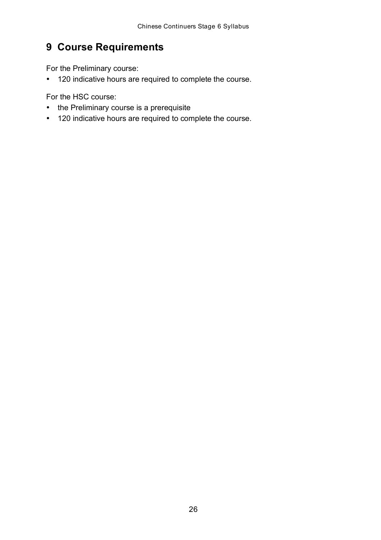# <span id="page-25-0"></span> **9 Course Requirements**

For the Preliminary course:

• 120 indicative hours are required to complete the course.

For the HSC course:

- the Preliminary course is a prerequisite
- 120 indicative hours are required to complete the course.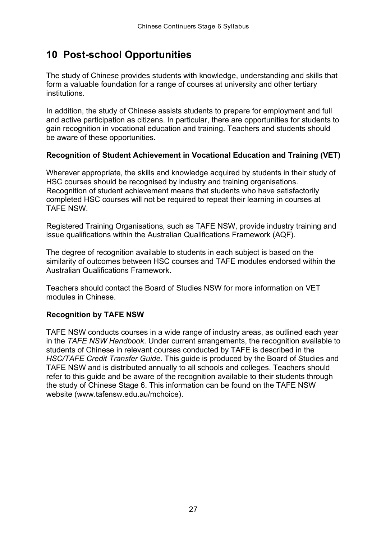### <span id="page-26-0"></span> **10 Post-school Opportunities**

 The study of Chinese provides students with knowledge, understanding and skills that form a valuable foundation for a range of courses at university and other tertiary institutions.

 In addition, the study of Chinese assists students to prepare for employment and full and active participation as citizens. In particular, there are opportunities for students to gain recognition in vocational education and training. Teachers and students should be aware of these opportunities.

#### **Recognition of Student Achievement in Vocational Education and Training (VET)**

 Wherever appropriate, the skills and knowledge acquired by students in their study of HSC courses should be recognised by industry and training organisations. Recognition of student achievement means that students who have satisfactorily completed HSC courses will not be required to repeat their learning in courses at TAFE NSW.

 Registered Training Organisations, such as TAFE NSW, provide industry training and issue qualifications within the Australian Qualifications Framework (AQF).

 The degree of recognition available to students in each subject is based on the similarity of outcomes between HSC courses and TAFE modules endorsed within the Australian Qualifications Framework.

 Teachers should contact the Board of Studies NSW for more information on VET modules in Chinese.

#### **Recognition by TAFE NSW**

 TAFE NSW conducts courses in a wide range of industry areas, as outlined each year in the *TAFE NSW Handbook*. Under current arrangements, the recognition available to students of Chinese in relevant courses conducted by TAFE is described in the  *HSC/TAFE Credit Transfer Guide*. This guide is produced by the Board of Studies and TAFE NSW and is distributed annually to all schools and colleges. Teachers should refer to this guide and be aware of the recognition available to their students through the study of Chinese Stage 6. This information can be found on the TAFE NSW website (www.tafensw.edu.au/mchoice).